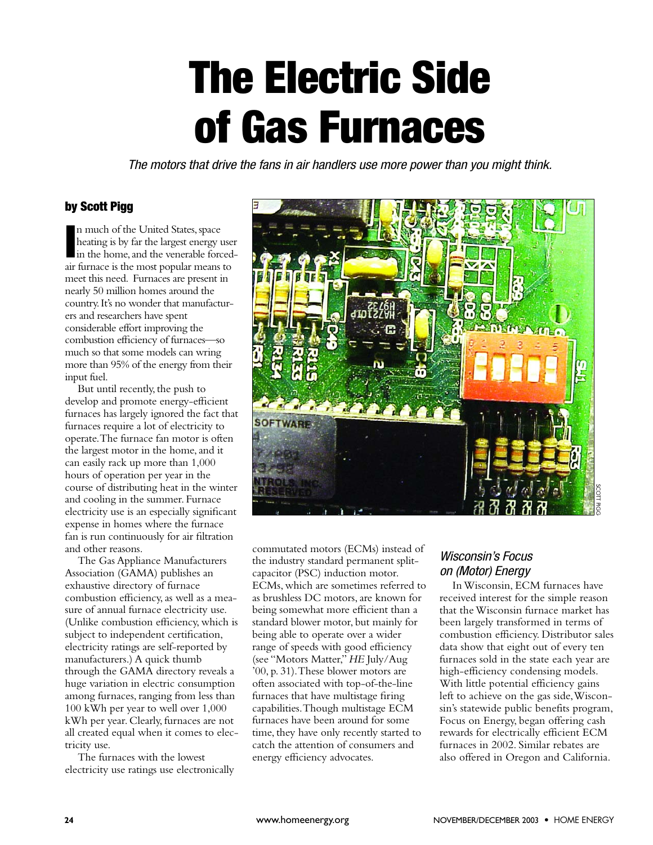# **The Electric Side of Gas Furnaces**

*The motors that drive the fans in air handlers use more power than you might think.*

#### **by Scott Pigg**

In much of the United States, space<br>heating is by far the largest energy use<br>in the home, and the venerable forced<br>air furnace is the most popular means to n much of the United States, space heating is by far the largest energy user in the home, and the venerable forcedmeet this need. Furnaces are present in nearly 50 million homes around the country.It's no wonder that manufacturers and researchers have spent considerable effort improving the combustion efficiency of furnaces—so much so that some models can wring more than 95% of the energy from their input fuel.

But until recently, the push to develop and promote energy-efficient furnaces has largely ignored the fact that furnaces require a lot of electricity to operate.The furnace fan motor is often the largest motor in the home, and it can easily rack up more than 1,000 hours of operation per year in the course of distributing heat in the winter and cooling in the summer. Furnace electricity use is an especially significant expense in homes where the furnace fan is run continuously for air filtration and other reasons.

The Gas Appliance Manufacturers Association (GAMA) publishes an exhaustive directory of furnace combustion efficiency, as well as a measure of annual furnace electricity use. (Unlike combustion efficiency, which is subject to independent certification, electricity ratings are self-reported by manufacturers.) A quick thumb through the GAMA directory reveals a huge variation in electric consumption among furnaces, ranging from less than 100 kWh per year to well over 1,000 kWh per year. Clearly, furnaces are not all created equal when it comes to electricity use.

The furnaces with the lowest electricity use ratings use electronically



commutated motors (ECMs) instead of the industry standard permanent splitcapacitor (PSC) induction motor. ECMs, which are sometimes referred to as brushless DC motors, are known for being somewhat more efficient than a standard blower motor, but mainly for being able to operate over a wider range of speeds with good efficiency (see "Motors Matter," *HE* July/Aug '00, p. 31).These blower motors are often associated with top-of-the-line furnaces that have multistage firing capabilities.Though multistage ECM furnaces have been around for some time, they have only recently started to catch the attention of consumers and energy efficiency advocates.

## *Wisconsin's Focus on (Motor) Energy*

In Wisconsin, ECM furnaces have received interest for the simple reason that the Wisconsin furnace market has been largely transformed in terms of combustion efficiency. Distributor sales data show that eight out of every ten furnaces sold in the state each year are high-efficiency condensing models. With little potential efficiency gains left to achieve on the gas side,Wisconsin's statewide public benefits program, Focus on Energy, began offering cash rewards for electrically efficient ECM furnaces in 2002. Similar rebates are also offered in Oregon and California.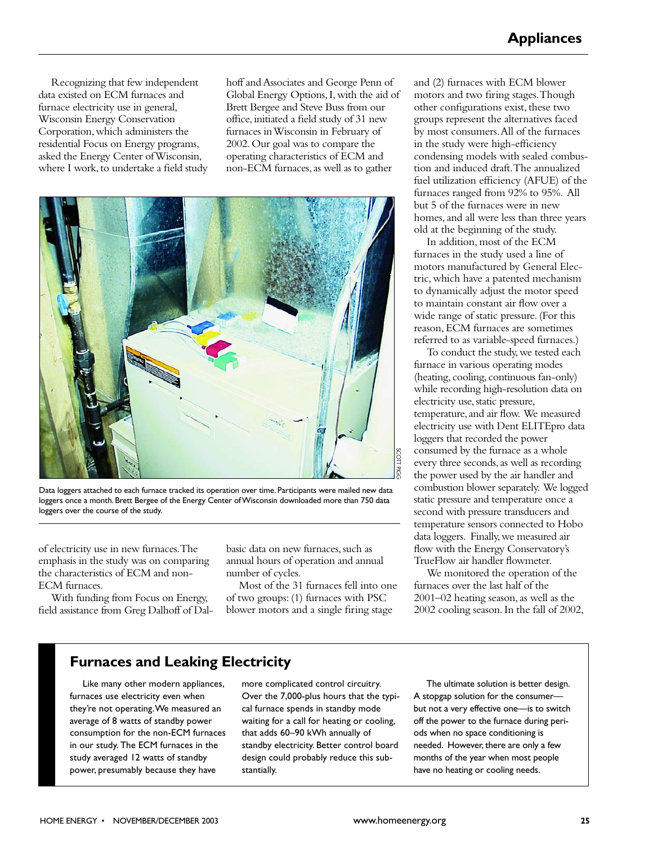Recognizing that few independent data existed on ECM furnaces and furnace electricity use in general, Wisconsin Energy Conservation Corporation,which administers the residential Focus on Energy programs, asked the Energy Center of Wisconsin, where I work, to undertake a field study hoff and Associates and George Penn of Global Energy Options,I,with the aid of Brett Bergee and Steve Buss from our office,initiated a field study of 31 new furnaces in Wisconsin in February of 2002.Our goal was to compare the operating characteristics of ECM and non-ECM furnaces,as well as to gather



Data loggers attached to each furnace tracked its operation over time. Participants were mailed new data loggers once a month. Brett Bergee of the Energy Center of Wisconsin downloaded more than 750 data loggers over the course of the study.

of electricity use in new furnaces.The emphasis in the study was on comparing the characteristics of ECM and non-ECM furnaces.

With funding from Focus on Energy, field assistance from Greg Dalhoff of Dalbasic data on new furnaces, such as annual hours of operation and annual number of cycles.

Most of the 31 furnaces fell into one of two groups: (1) furnaces with PSC blower motors and a single firing stage

and (2) furnaces with ECM blower motors and two firing stages.Though other configurations exist, these two groups represent the alternatives faced by most consumers.All of the furnaces in the study were high-efficiency condensing models with sealed combustion and induced draft.The annualized fuel utilization efficiency (AFUE) of the furnaces ranged from 92% to 95%. All but 5 of the furnaces were in new homes, and all were less than three years old at the beginning of the study.

In addition, most of the ECM furnaces in the study used a line of motors manufactured by General Electric, which have a patented mechanism to dynamically adjust the motor speed to maintain constant air flow over a wide range of static pressure. (For this reason, ECM furnaces are sometimes referred to as variable-speed furnaces.)

To conduct the study, we tested each furnace in various operating modes (heating, cooling, continuous fan-only) while recording high-resolution data on electricity use, static pressure, temperature, and air flow. We measured electricity use with Dent ELITEpro data loggers that recorded the power consumed by the furnace as a whole every three seconds,as well as recording the power used by the air handler and combustion blower separately. We logged static pressure and temperature once a second with pressure transducers and temperature sensors connected to Hobo data loggers. Finally,we measured air flow with the Energy Conservatory's TrueFlow air handler flowmeter.

We monitored the operation of the furnaces over the last half of the 2001–02 heating season, as well as the 2002 cooling season. In the fall of 2002,

# **Furnaces and Leaking Electricity**

Like many other modern appliances, furnaces use electricity even when they're not operating.We measured an average of 8 watts of standby power consumption for the non-ECM furnaces in our study. The ECM furnaces in the study averaged 12 watts of standby power, presumably because they have

more complicated control circuitry. Over the 7,000-plus hours that the typical furnace spends in standby mode waiting for a call for heating or cooling, that adds 60–90 kWh annually of standby electricity. Better control board design could probably reduce this substantially.

The ultimate solution is better design. A stopgap solution for the consumer but not a very effective one—is to switch off the power to the furnace during periods when no space conditioning is needed. However, there are only a few months of the year when most people have no heating or cooling needs.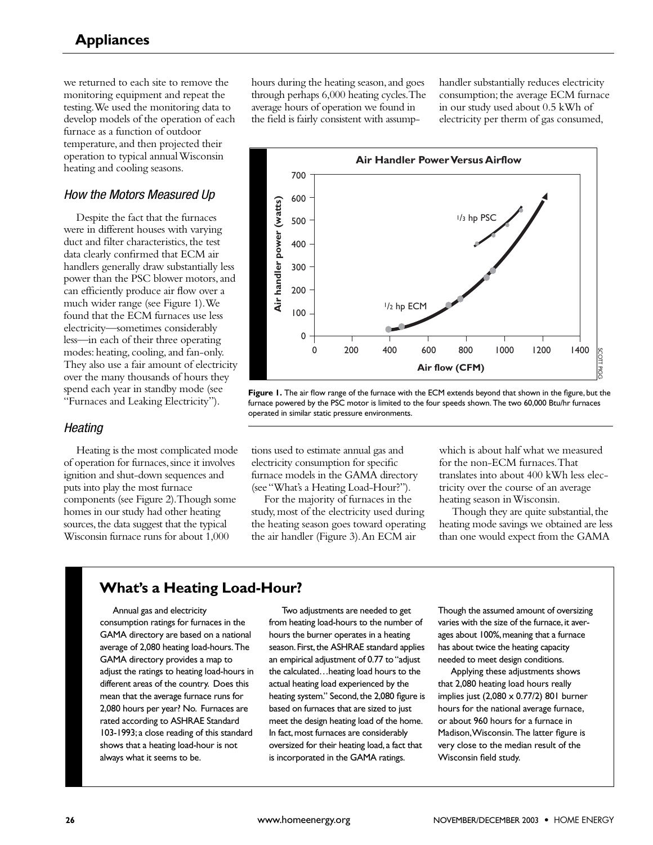we returned to each site to remove the monitoring equipment and repeat the testing.We used the monitoring data to develop models of the operation of each furnace as a function of outdoor temperature, and then projected their operation to typical annual Wisconsin heating and cooling seasons.

#### *How the Motors Measured Up*

Despite the fact that the furnaces were in different houses with varying duct and filter characteristics, the test data clearly confirmed that ECM air handlers generally draw substantially less power than the PSC blower motors, and can efficiently produce air flow over a much wider range (see Figure 1).We found that the ECM furnaces use less electricity—sometimes considerably less—in each of their three operating modes: heating, cooling, and fan-only. They also use a fair amount of electricity over the many thousands of hours they spend each year in standby mode (see "Furnaces and Leaking Electricity"). **Example 1.1** The control of the fitter characteristics, the test filter characteristics of the fitter characteristics of the PSC blower motors, and given produce air flow over a set and produce in flow over a set at the E

#### *Heating*

Heating is the most complicated mode of operation for furnaces, since it involves ignition and shut-down sequences and puts into play the most furnace components (see Figure 2).Though some homes in our study had other heating sources, the data suggest that the typical Wisconsin furnace runs for about 1,000

hours during the heating season, and goes through perhaps 6,000 heating cycles.The average hours of operation we found in the field is fairly consistent with assumphandler substantially reduces electricity consumption; the average ECM furnace in our study used about 0.5 kWh of electricity per therm of gas consumed,



**Figure 1.** The air flow range of the furnace with the ECM extends beyond that shown in the figure, but the furnace powered by the PSC motor is limited to the four speeds shown. The two 60,000 Btu/hr furnaces operated in similar static pressure environments.

tions used to estimate annual gas and electricity consumption for specific furnace models in the GAMA directory (see "What's a Heating Load-Hour?").

For the majority of furnaces in the study, most of the electricity used during the heating season goes toward operating the air handler (Figure 3).An ECM air

which is about half what we measured for the non-ECM furnaces.That translates into about 400 kWh less electricity over the course of an average heating season in Wisconsin.

Though they are quite substantial, the heating mode savings we obtained are less than one would expect from the GAMA

Annual gas and electricity consumption ratings for furnaces in the GAMA directory are based on a national average of 2,080 heating load-hours.The GAMA directory provides a map to adjust the ratings to heating load-hours in different areas of the country. Does this mean that the average furnace runs for 2,080 hours per year? No. Furnaces are rated according to ASHRAE Standard 103-1993;a close reading of this standard shows that a heating load-hour is not always what it seems to be.

Two adjustments are needed to get from heating load-hours to the number of hours the burner operates in a heating season. First, the ASHRAE standard applies an empirical adjustment of 0.77 to "adjust the calculated…heating load hours to the actual heating load experienced by the heating system." Second, the 2,080 figure is based on furnaces that are sized to just meet the design heating load of the home. In fact, most furnaces are considerably oversized for their heating load,a fact that is incorporated in the GAMA ratings.

Though the assumed amount of oversizing varies with the size of the furnace, it averages about 100%, meaning that a furnace has about twice the heating capacity needed to meet design conditions.

Applying these adjustments shows that 2,080 heating load hours really implies just (2,080 x 0.77/2) 801 burner hours for the national average furnace, or about 960 hours for a furnace in Madison,Wisconsin. The latter figure is very close to the median result of the Wisconsin field study.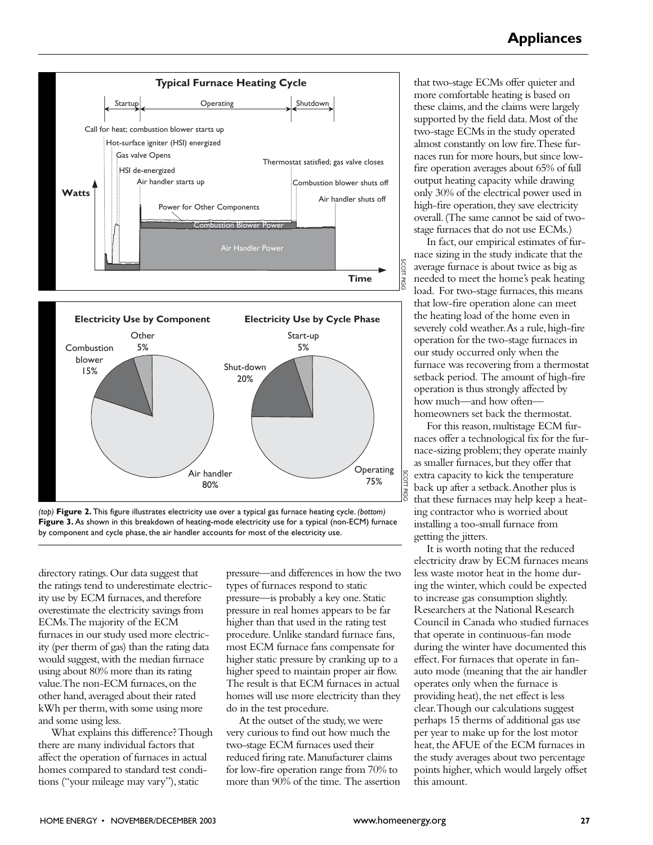



*(top)* **Figure 2.** This figure illustrates electricity use over a typical gas furnace heating cycle. *(bottom)* **Figure 3.** As shown in this breakdown of heating-mode electricity use for a typical (non-ECM) furnace by component and cycle phase, the air handler accounts for most of the electricity use.

directory ratings.Our data suggest that the ratings tend to underestimate electricity use by ECM furnaces, and therefore overestimate the electricity savings from ECMs.The majority of the ECM furnaces in our study used more electricity (per therm of gas) than the rating data would suggest,with the median furnace using about 80% more than its rating value.The non-ECM furnaces,on the other hand, averaged about their rated kWh per therm, with some using more and some using less.

What explains this difference? Though there are many individual factors that affect the operation of furnaces in actual homes compared to standard test conditions ("your mileage may vary"), static

pressure—and differences in how the two types of furnaces respond to static pressure—is probably a key one.Static pressure in real homes appears to be far higher than that used in the rating test procedure.Unlike standard furnace fans, most ECM furnace fans compensate for higher static pressure by cranking up to a higher speed to maintain proper air flow. The result is that ECM furnaces in actual homes will use more electricity than they do in the test procedure.

At the outset of the study, we were very curious to find out how much the two-stage ECM furnaces used their reduced firing rate.Manufacturer claims for low-fire operation range from 70% to more than 90% of the time. The assertion that two-stage ECMs offer quieter and more comfortable heating is based on these claims, and the claims were largely supported by the field data.Most of the two-stage ECMs in the study operated almost constantly on low fire.These furnaces run for more hours, but since lowfire operation averages about 65% of full output heating capacity while drawing only 30% of the electrical power used in high-fire operation, they save electricity overall.(The same cannot be said of twostage furnaces that do not use ECMs.)

In fact, our empirical estimates of furnace sizing in the study indicate that the average furnace is about twice as big as needed to meet the home's peak heating load. For two-stage furnaces, this means that low-fire operation alone can meet the heating load of the home even in severely cold weather. As a rule, high-fire operation for the two-stage furnaces in our study occurred only when the furnace was recovering from a thermostat setback period. The amount of high-fire operation is thus strongly affected by how much—and how often homeowners set back the thermostat.

SCOTTPig<br>P

> For this reason, multistage ECM furnaces offer a technological fix for the furnace-sizing problem; they operate mainly as smaller furnaces, but they offer that extra capacity to kick the temperature back up after a setback.Another plus is that these furnaces may help keep a heating contractor who is worried about installing a too-small furnace from getting the jitters.

> It is worth noting that the reduced electricity draw by ECM furnaces means less waste motor heat in the home during the winter, which could be expected to increase gas consumption slightly. Researchers at the National Research Council in Canada who studied furnaces that operate in continuous-fan mode during the winter have documented this effect. For furnaces that operate in fanauto mode (meaning that the air handler operates only when the furnace is providing heat), the net effect is less clear.Though our calculations suggest perhaps 15 therms of additional gas use per year to make up for the lost motor heat, the AFUE of the ECM furnaces in the study averages about two percentage points higher, which would largely offset this amount.